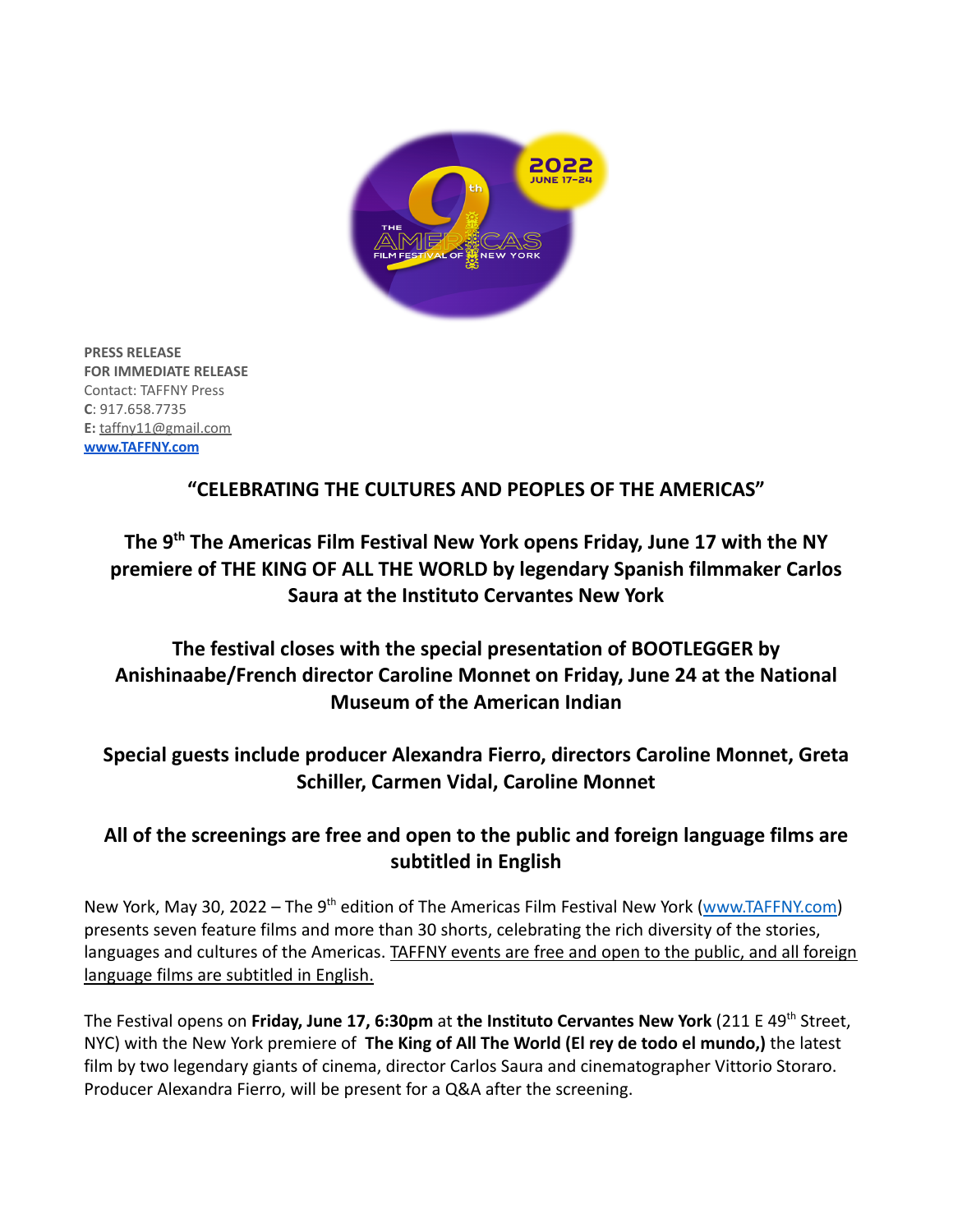

**PRESS RELEASE FOR IMMEDIATE RELEASE** Contact: TAFFNY Press **C**: 917.658.7735 **E:** taffny11@gmail.com **[www.TAFFNY.com](http://www.taffny.com)**

# **"CELEBRATING THE CULTURES AND PEOPLES OF THE AMERICAS"**

# **The 9 th The Americas Film Festival New York opens Friday, June 17 with the NY premiere of THE KING OF ALL THE WORLD by legendary Spanish filmmaker Carlos Saura at the Instituto Cervantes New York**

# **The festival closes with the special presentation of BOOTLEGGER by Anishinaabe/French director Caroline Monnet on Friday, June 24 at the National Museum of the American Indian**

# **Special guests include producer Alexandra Fierro, directors Caroline Monnet, Greta Schiller, Carmen Vidal, Caroline Monnet**

# **All of the screenings are free and open to the public and foreign language films are subtitled in English**

New York, May 30, 2022 – The 9<sup>th</sup> edition of The Americas Film Festival New York ([www.TAFFNY.com](http://www.taffny.com)) presents seven feature films and more than 30 shorts, celebrating the rich diversity of the stories, languages and cultures of the Americas. TAFFNY events are free and open to the public, and all foreign language films are subtitled in English.

The Festival opens on **Friday, June 17, 6:30pm** at **the Instituto Cervantes New York** (211 E 49th Street, NYC) with the New York premiere of **The King of All The World (El rey de todo el mundo,)** the latest film by two legendary giants of cinema, director Carlos Saura and cinematographer Vittorio Storaro. Producer Alexandra Fierro, will be present for a Q&A after the screening.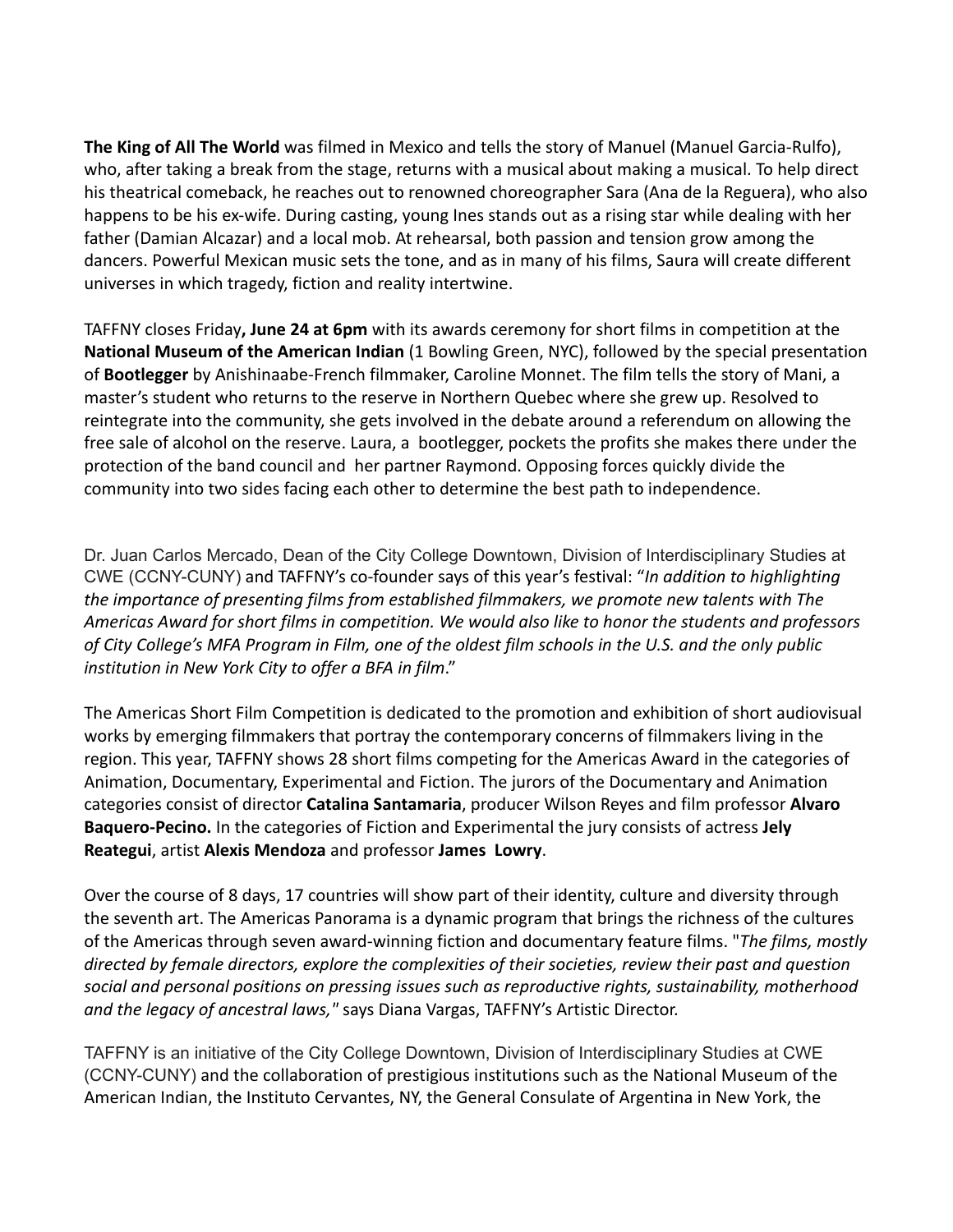**The King of All The World** was filmed in Mexico and tells the story of Manuel (Manuel Garcia-Rulfo), who, after taking a break from the stage, returns with a musical about making a musical. To help direct his theatrical comeback, he reaches out to renowned choreographer Sara (Ana de la Reguera), who also happens to be his ex-wife. During casting, young Ines stands out as a rising star while dealing with her father (Damian Alcazar) and a local mob. At rehearsal, both passion and tension grow among the dancers. Powerful Mexican music sets the tone, and as in many of his films, Saura will create different universes in which tragedy, fiction and reality intertwine.

TAFFNY closes Friday**, June 24 at 6pm** with its awards ceremony for short films in competition at the **National Museum of the American Indian** (1 Bowling Green, NYC), followed by the special presentation of **Bootlegger** by Anishinaabe-French filmmaker, Caroline Monnet. The film tells the story of Mani, a master's student who returns to the reserve in Northern Quebec where she grew up. Resolved to reintegrate into the community, she gets involved in the debate around a referendum on allowing the free sale of alcohol on the reserve. Laura, a bootlegger, pockets the profits she makes there under the protection of the band council and her partner Raymond. Opposing forces quickly divide the community into two sides facing each other to determine the best path to independence.

Dr. Juan Carlos Mercado, Dean of the City College Downtown, Division of Interdisciplinary Studies at CWE (CCNY-CUNY) and TAFFNY's co-founder says of this year's festival: "*In addition to highlighting the importance of presenting films from established filmmakers, we promote new talents with The Americas Award for short films in competition. We would also like to honor the students and professors of City College's MFA Program in Film, one of the oldest film schools in the U.S. and the only public institution in New York City to offer a BFA in film*."

The Americas Short Film Competition is dedicated to the promotion and exhibition of short audiovisual works by emerging filmmakers that portray the contemporary concerns of filmmakers living in the region. This year, TAFFNY shows 28 short films competing for the Americas Award in the categories of Animation, Documentary, Experimental and Fiction. The jurors of the Documentary and Animation categories consist of director **Catalina Santamaria**, producer Wilson Reyes and film professor **Alvaro Baquero-Pecino.** In the categories of Fiction and Experimental the jury consists of actress **Jely Reategui**, artist **Alexis Mendoza** and professor **James Lowry**.

Over the course of 8 days, 17 countries will show part of their identity, culture and diversity through the seventh art. The Americas Panorama is a dynamic program that brings the richness of the cultures of the Americas through seven award-winning fiction and documentary feature films. "*The films, mostly directed by female directors, explore the complexities of their societies, review their past and question social and personal positions on pressing issues such as reproductive rights, sustainability, motherhood and the legacy of ancestral laws,"* says Diana Vargas, TAFFNY's Artistic Director.

TAFFNY is an initiative of the City College Downtown, Division of Interdisciplinary Studies at CWE (CCNY-CUNY) and the collaboration of prestigious institutions such as the National Museum of the American Indian, the Instituto Cervantes, NY, the General Consulate of Argentina in New York, the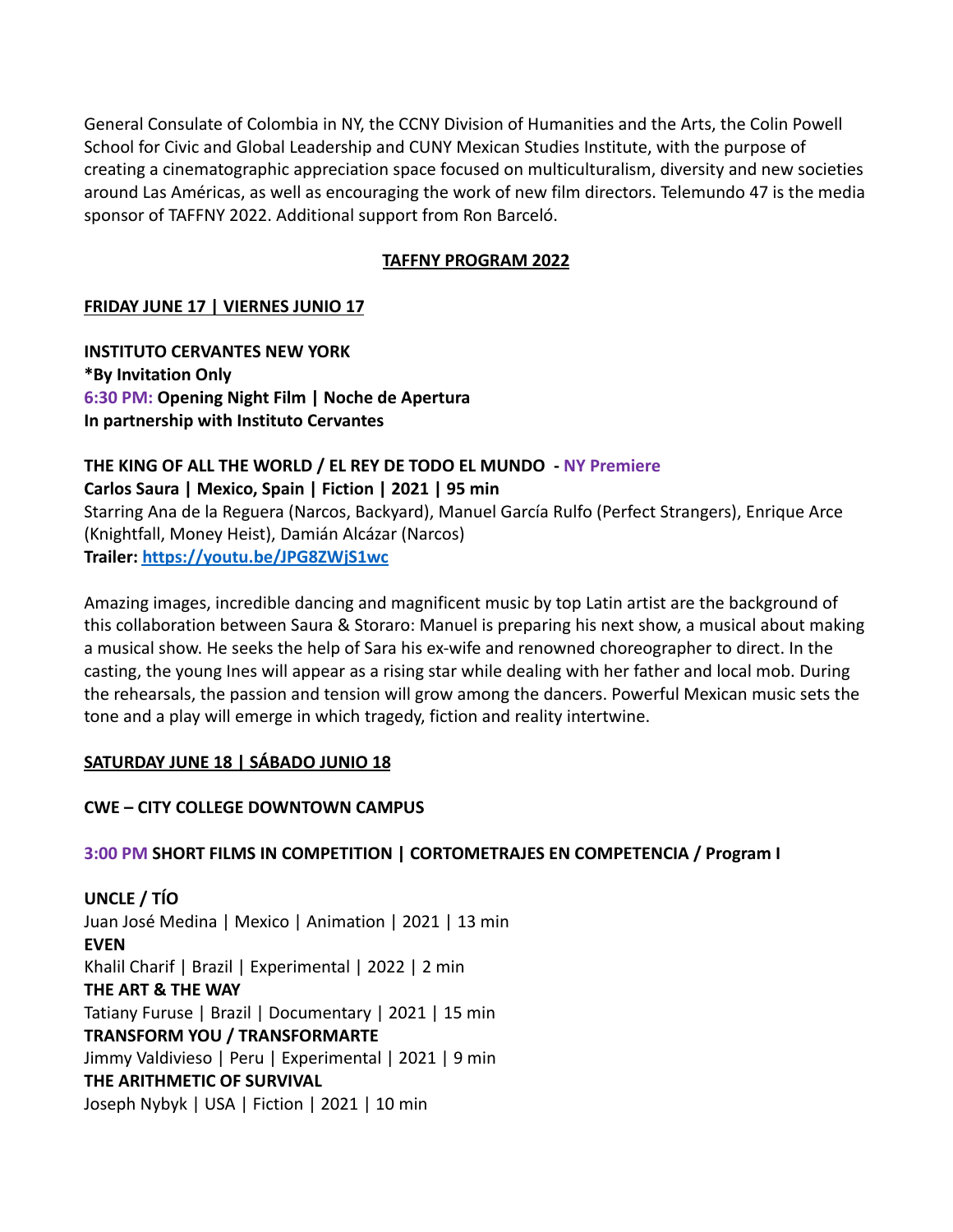General Consulate of Colombia in NY, the CCNY Division of Humanities and the Arts, the Colin Powell School for Civic and Global Leadership and CUNY Mexican Studies Institute, with the purpose of creating a cinematographic appreciation space focused on multiculturalism, diversity and new societies around Las Américas, as well as encouraging the work of new film directors. Telemundo 47 is the media sponsor of TAFFNY 2022. Additional support from Ron Barceló.

# **TAFFNY PROGRAM 2022**

# **FRIDAY JUNE 17 | VIERNES JUNIO 17**

**INSTITUTO CERVANTES NEW YORK \*By Invitation Only 6:30 PM: Opening Night Film | Noche de Apertura In partnership with Instituto Cervantes**

#### **THE KING OF ALL THE WORLD / EL REY DE TODO EL MUNDO - NY Premiere Carlos Saura | Mexico, Spain | Fiction | 2021 | 95 min**

Starring Ana de la Reguera (Narcos, Backyard), Manuel García Rulfo (Perfect Strangers), Enrique Arce (Knightfall, Money Heist), Damián Alcázar (Narcos) **Trailer: <https://youtu.be/JPG8ZWjS1wc>**

Amazing images, incredible dancing and magnificent music by top Latin artist are the background of this collaboration between Saura & Storaro: Manuel is preparing his next show, a musical about making a musical show. He seeks the help of Sara his ex-wife and renowned choreographer to direct. In the casting, the young Ines will appear as a rising star while dealing with her father and local mob. During the rehearsals, the passion and tension will grow among the dancers. Powerful Mexican music sets the tone and a play will emerge in which tragedy, fiction and reality intertwine.

# **SATURDAY JUNE 18 | SÁBADO JUNIO 18**

# **CWE – CITY COLLEGE DOWNTOWN CAMPUS**

# **3:00 PM SHORT FILMS IN COMPETITION | CORTOMETRAJES EN COMPETENCIA / Program I**

**UNCLE / TÍO** Juan José Medina | Mexico | Animation | 2021 | 13 min **EVEN** Khalil Charif | Brazil | Experimental | 2022 | 2 min **THE ART & THE WAY** Tatiany Furuse | Brazil | Documentary | 2021 | 15 min **TRANSFORM YOU / TRANSFORMARTE** Jimmy Valdivieso | Peru | Experimental | 2021 | 9 min **THE ARITHMETIC OF SURVIVAL** Joseph Nybyk | USA | Fiction | 2021 | 10 min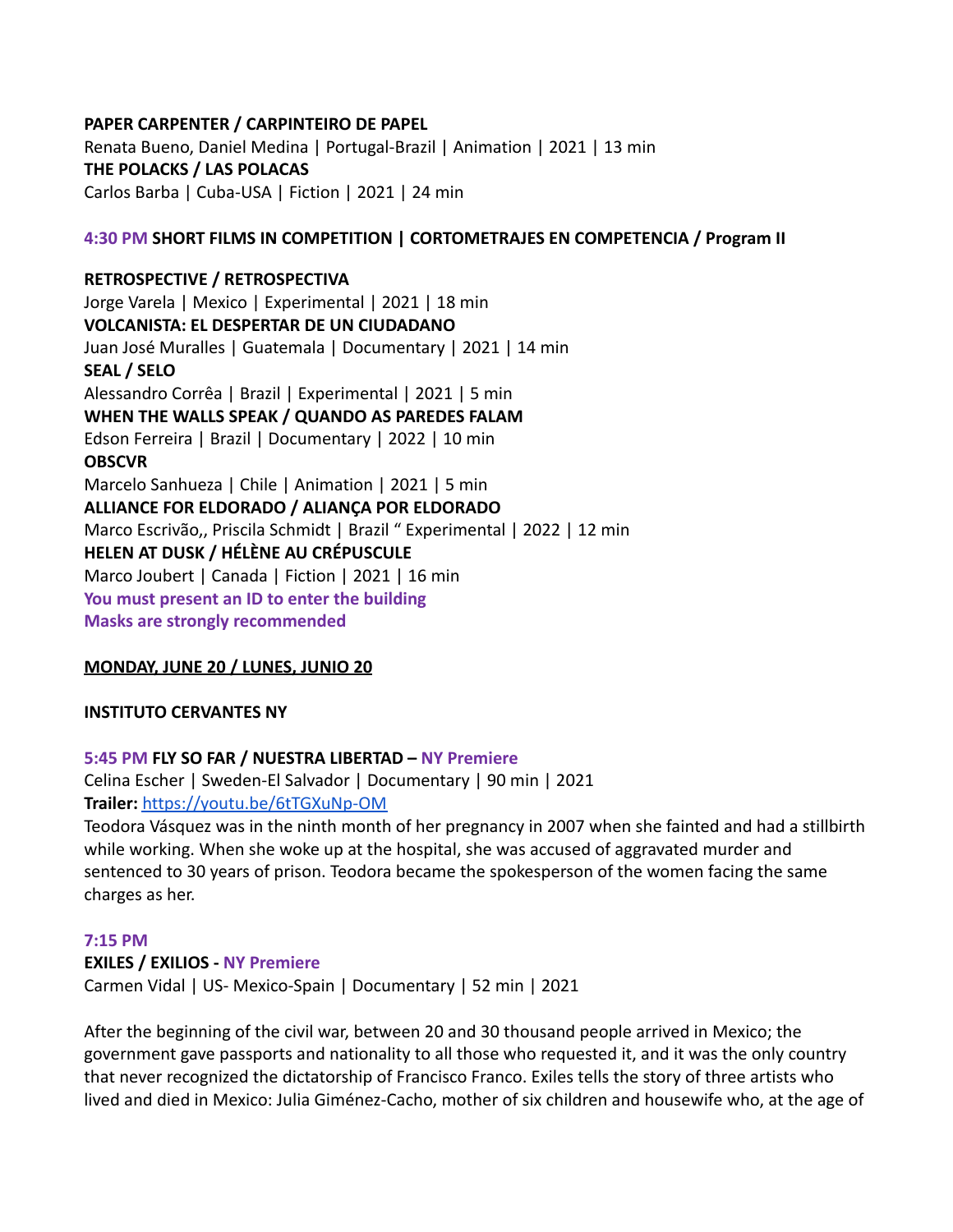### **PAPER CARPENTER / CARPINTEIRO DE PAPEL**

Renata Bueno, Daniel Medina | Portugal-Brazil | Animation | 2021 | 13 min **THE POLACKS / LAS POLACAS** Carlos Barba | Cuba-USA | Fiction | 2021 | 24 min

### **4:30 PM SHORT FILMS IN COMPETITION | CORTOMETRAJES EN COMPETENCIA / Program II**

**RETROSPECTIVE / RETROSPECTIVA** Jorge Varela | Mexico | Experimental | 2021 | 18 min **VOLCANISTA: EL DESPERTAR DE UN CIUDADANO** Juan José Muralles | Guatemala | Documentary | 2021 | 14 min **SEAL / SELO** Alessandro Corrêa | Brazil | Experimental | 2021 | 5 min **WHEN THE WALLS SPEAK / QUANDO AS PAREDES FALAM** Edson Ferreira | Brazil | Documentary | 2022 | 10 min **OBSCVR** Marcelo Sanhueza | Chile | Animation | 2021 | 5 min **ALLIANCE FOR ELDORADO / ALIANÇA POR ELDORADO** Marco Escrivão,, Priscila Schmidt | Brazil " Experimental | 2022 | 12 min **HELEN AT DUSK / HÉLÈNE AU CRÉPUSCULE** Marco Joubert | Canada | Fiction | 2021 | 16 min **You must present an ID to enter the building Masks are strongly recommended**

#### **MONDAY, JUNE 20 / LUNES, JUNIO 20**

#### **INSTITUTO CERVANTES NY**

#### **5:45 PM FLY SO FAR / NUESTRA LIBERTAD – NY Premiere**

Celina Escher | Sweden-El Salvador | Documentary | 90 min | 2021 **Trailer:** <https://youtu.be/6tTGXuNp-OM>

Teodora Vásquez was in the ninth month of her pregnancy in 2007 when she fainted and had a stillbirth while working. When she woke up at the hospital, she was accused of aggravated murder and sentenced to 30 years of prison. Teodora became the spokesperson of the women facing the same charges as her.

#### **7:15 PM**

#### **EXILES / EXILIOS - NY Premiere**

Carmen Vidal | US- Mexico-Spain | Documentary | 52 min | 2021

After the beginning of the civil war, between 20 and 30 thousand people arrived in Mexico; the government gave passports and nationality to all those who requested it, and it was the only country that never recognized the dictatorship of Francisco Franco. Exiles tells the story of three artists who lived and died in Mexico: Julia Giménez-Cacho, mother of six children and housewife who, at the age of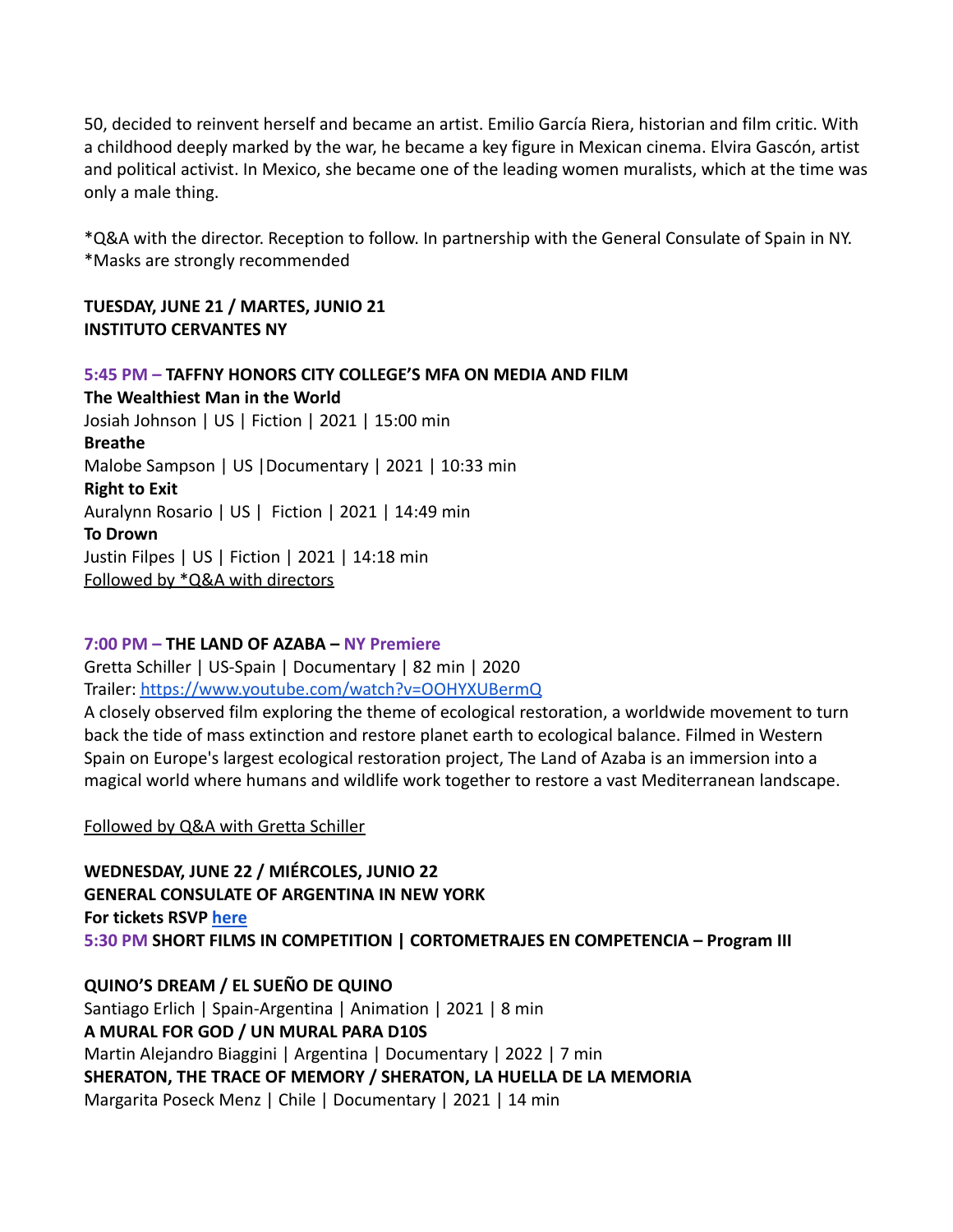50, decided to reinvent herself and became an artist. Emilio García Riera, historian and film critic. With a childhood deeply marked by the war, he became a key figure in Mexican cinema. Elvira Gascón, artist and political activist. In Mexico, she became one of the leading women muralists, which at the time was only a male thing.

\*Q&A with the director. Reception to follow. In partnership with the General Consulate of Spain in NY. \*Masks are strongly recommended

### **TUESDAY, JUNE 21 / MARTES, JUNIO 21 INSTITUTO CERVANTES NY**

**5:45 PM – TAFFNY HONORS CITY COLLEGE'S MFA ON MEDIA AND FILM The Wealthiest Man in the World** Josiah Johnson | US | Fiction | 2021 | 15:00 min **Breathe** Malobe Sampson | US |Documentary | 2021 | 10:33 min **Right to Exit** Auralynn Rosario | US | Fiction | 2021 | 14:49 min **To Drown** Justin Filpes | US | Fiction | 2021 | 14:18 min Followed by \*Q&A with directors

#### **7:00 PM – THE LAND OF AZABA – NY Premiere**

Gretta Schiller | US-Spain | Documentary | 82 min | 2020 Trailer: <https://www.youtube.com/watch?v=OOHYXUBermQ>

A closely observed film exploring the theme of ecological restoration, a worldwide movement to turn back the tide of mass extinction and restore planet earth to ecological balance. Filmed in Western Spain on Europe's largest ecological restoration project, The Land of Azaba is an immersion into a magical world where humans and wildlife work together to restore a vast Mediterranean landscape.

Followed by Q&A with Gretta Schiller

**WEDNESDAY, JUNE 22 / MIÉRCOLES, JUNIO 22 GENERAL CONSULATE OF ARGENTINA IN NEW YORK For tickets RSVP [here](https://www.eventbrite.com/e/taffny-general-argentinean-consulate-in-ny-tickets-354104384747) 5:30 PM SHORT FILMS IN COMPETITION | CORTOMETRAJES EN COMPETENCIA – Program III**

**QUINO'S DREAM / EL SUEÑO DE QUINO** Santiago Erlich | Spain-Argentina | Animation | 2021 | 8 min **A MURAL FOR GOD / UN MURAL PARA D10S** Martin Alejandro Biaggini | Argentina | Documentary | 2022 | 7 min **SHERATON, THE TRACE OF MEMORY / SHERATON, LA HUELLA DE LA MEMORIA** Margarita Poseck Menz | Chile | Documentary | 2021 | 14 min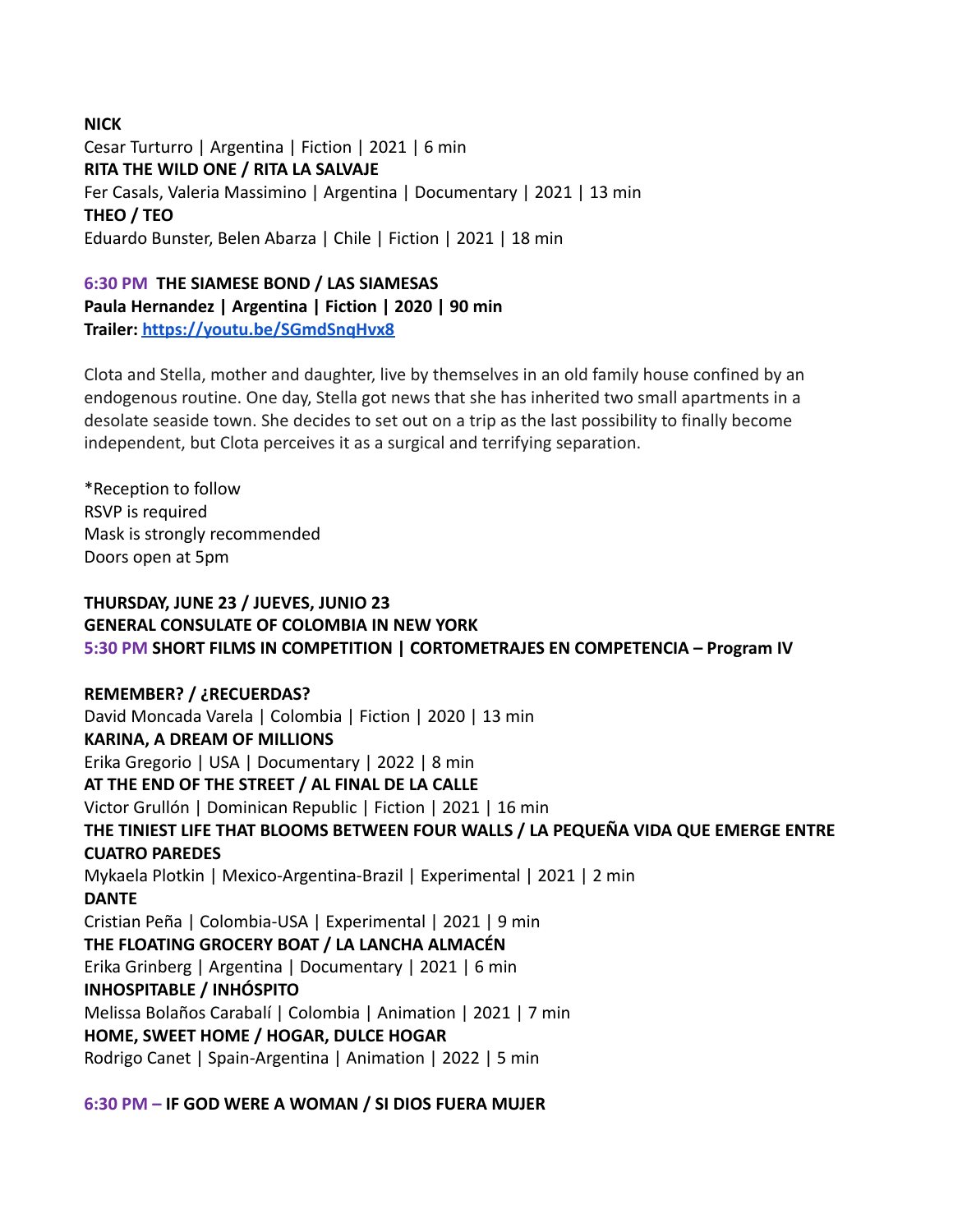# **NICK** Cesar Turturro | Argentina | Fiction | 2021 | 6 min **RITA THE WILD ONE / RITA LA SALVAJE** Fer Casals, Valeria Massimino | Argentina | Documentary | 2021 | 13 min **THEO / TEO** Eduardo Bunster, Belen Abarza | Chile | Fiction | 2021 | 18 min

# **6:30 PM THE SIAMESE BOND / LAS SIAMESAS Paula Hernandez | Argentina | Fiction | 2020 | 90 min Trailer: <https://youtu.be/SGmdSnqHvx8>**

Clota and Stella, mother and daughter, live by themselves in an old family house confined by an endogenous routine. One day, Stella got news that she has inherited two small apartments in a desolate seaside town. She decides to set out on a trip as the last possibility to finally become independent, but Clota perceives it as a surgical and terrifying separation.

\*Reception to follow RSVP is required Mask is strongly recommended Doors open at 5pm

# **THURSDAY, JUNE 23 / JUEVES, JUNIO 23 GENERAL CONSULATE OF COLOMBIA IN NEW YORK 5:30 PM SHORT FILMS IN COMPETITION | CORTOMETRAJES EN COMPETENCIA – Program IV**

# **REMEMBER? / ¿RECUERDAS?**

David Moncada Varela | Colombia | Fiction | 2020 | 13 min **KARINA, A DREAM OF MILLIONS** Erika Gregorio | USA | Documentary | 2022 | 8 min **AT THE END OF THE STREET / AL FINAL DE LA CALLE** Victor Grullón | Dominican Republic | Fiction | 2021 | 16 min **THE TINIEST LIFE THAT BLOOMS BETWEEN FOUR WALLS / LA PEQUEÑA VIDA QUE EMERGE ENTRE CUATRO PAREDES** Mykaela Plotkin | Mexico-Argentina-Brazil | Experimental | 2021 | 2 min **DANTE** Cristian Peña | Colombia-USA | Experimental | 2021 | 9 min **THE FLOATING GROCERY BOAT / LA LANCHA ALMACÉN** Erika Grinberg | Argentina | Documentary | 2021 | 6 min **INHOSPITABLE / INHÓSPITO** Melissa Bolaños Carabalí | Colombia | Animation | 2021 | 7 min **HOME, SWEET HOME / HOGAR, DULCE HOGAR** Rodrigo Canet | Spain-Argentina | Animation | 2022 | 5 min

# **6:30 PM – IF GOD WERE A WOMAN / SI DIOS FUERA MUJER**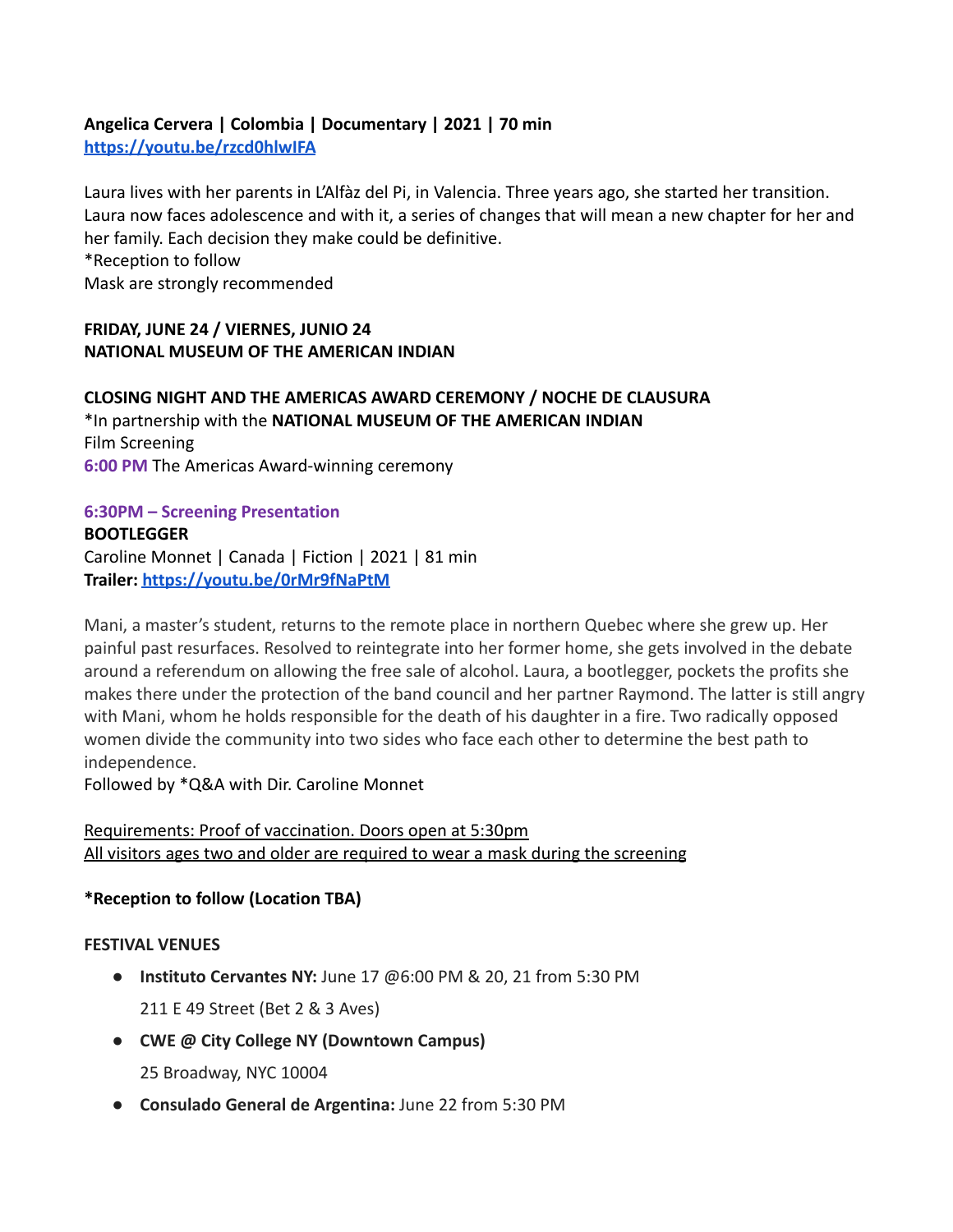# **Angelica Cervera | Colombia | Documentary | 2021 | 70 min <https://youtu.be/rzcd0hlwIFA>**

Laura lives with her parents in L'Alfàz del Pi, in Valencia. Three years ago, she started her transition. Laura now faces adolescence and with it, a series of changes that will mean a new chapter for her and her family. Each decision they make could be definitive. \*Reception to follow Mask are strongly recommended

# **FRIDAY, JUNE 24 / VIERNES, JUNIO 24 NATIONAL MUSEUM OF THE AMERICAN INDIAN**

**CLOSING NIGHT AND THE AMERICAS AWARD CEREMONY / NOCHE DE CLAUSURA** \*In partnership with the **NATIONAL MUSEUM OF THE AMERICAN INDIAN** Film Screening **6:00 PM** The Americas Award-winning ceremony

# **6:30PM – Screening Presentation**

**BOOTLEGGER** Caroline Monnet | Canada | Fiction | 2021 | 81 min **Trailer: <https://youtu.be/0rMr9fNaPtM>**

Mani, a master's student, returns to the remote place in northern Quebec where she grew up. Her painful past resurfaces. Resolved to reintegrate into her former home, she gets involved in the debate around a referendum on allowing the free sale of alcohol. Laura, a bootlegger, pockets the profits she makes there under the protection of the band council and her partner Raymond. The latter is still angry with Mani, whom he holds responsible for the death of his daughter in a fire. Two radically opposed women divide the community into two sides who face each other to determine the best path to independence.

Followed by \*Q&A with Dir. Caroline Monnet

# Requirements: Proof of vaccination. Doors open at 5:30pm All visitors ages two and older are required to wear a mask during the screening

# **\*Reception to follow (Location TBA)**

# **FESTIVAL VENUES**

- **Instituto Cervantes NY:** June 17 @6:00 PM & 20, 21 from 5:30 PM 211 E 49 Street (Bet 2 & 3 Aves)
- **● CWE @ City College NY (Downtown Campus)**
	- 25 Broadway, NYC 10004
- **Consulado General de Argentina:** June 22 from 5:30 PM